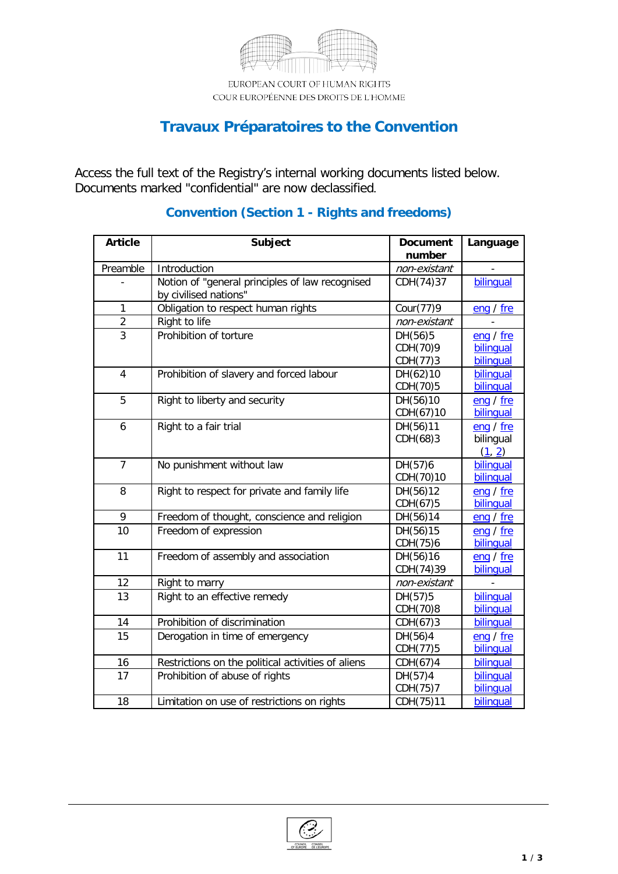

EUROPEAN COURT OF HUMAN RIGHTS COUR EUROPÉENNE DES DROITS DE L'HOMME

# **Travaux Préparatoires to the Convention**

Access the full text of the Registry's internal working documents listed below. Documents marked "confidential" are now declassified.

| <b>Article</b> | Subject                                            | <b>Document</b> | Language  |
|----------------|----------------------------------------------------|-----------------|-----------|
|                |                                                    | number          |           |
| Preamble       | Introduction                                       | non-existant    |           |
|                | Notion of "general principles of law recognised    | CDH(74)37       | bilingual |
|                | by civilised nations"                              |                 |           |
| $\mathbf{1}$   | Obligation to respect human rights                 | Cour(77)9       | eng / fre |
| $\overline{2}$ | Right to life                                      | non-existant    |           |
| $\overline{3}$ | Prohibition of torture                             | DH(56)5         | eng / fre |
|                |                                                    | CDH(70)9        | bilinqual |
|                |                                                    | CDH(77)3        | bilinqual |
| $\overline{4}$ | Prohibition of slavery and forced labour           | DH(62)10        | bilinqual |
|                |                                                    | CDH(70)5        | bilinqual |
| 5              | Right to liberty and security                      | DH(56)10        | eng / fre |
|                |                                                    | CDH(67)10       | bilinqual |
| 6              | Right to a fair trial                              | DH(56)11        | eng / fre |
|                |                                                    | CDH(68)3        | bilingual |
|                |                                                    |                 | (1, 2)    |
| 7              | No punishment without law                          | DH(57)6         | bilingual |
|                |                                                    | CDH(70)10       | bilinqual |
| 8              | Right to respect for private and family life       | DH(56)12        | eng / fre |
|                |                                                    | CDH(67)5        | bilinqual |
| 9              | Freedom of thought, conscience and religion        | DH(56)14        | eng / fre |
| 10             | Freedom of expression                              | DH(56)15        | eng / fre |
|                |                                                    | CDH(75)6        | bilinqual |
| 11             | Freedom of assembly and association                | DH(56)16        | eng / fre |
|                |                                                    | CDH(74)39       | bilinqual |
| 12             | Right to marry                                     | non-existant    |           |
| 13             | Right to an effective remedy                       | DH(57)5         | bilingual |
|                |                                                    | CDH(70)8        | bilingual |
| 14             | Prohibition of discrimination                      | CDH(67)3        | bilinqual |
| 15             | Derogation in time of emergency                    | DH(56)4         | eng / fre |
|                |                                                    | CDH(77)5        | bilinqual |
| 16             | Restrictions on the political activities of aliens | CDH(67)4        | bilingual |
| 17             | Prohibition of abuse of rights                     | DH(57)4         | bilinqual |
|                |                                                    | CDH(75)7        | bilingual |
| 18             | Limitation on use of restrictions on rights        | CDH(75)11       | bilinqual |

#### **Convention (Section 1 - Rights and freedoms)**

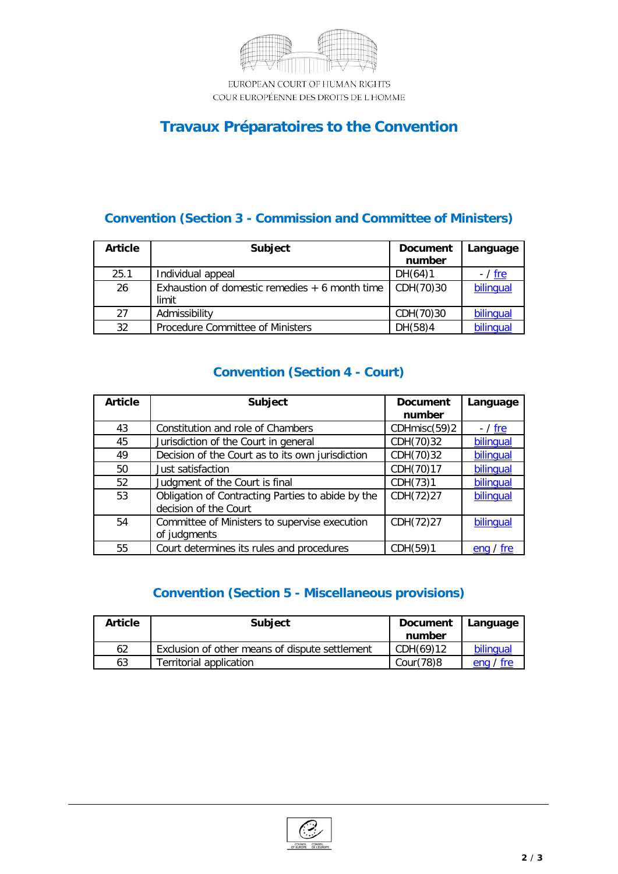

EUROPEAN COURT OF HUMAN RIGHTS COUR EUROPÉENNE DES DROITS DE L'HOMME

## **Travaux Préparatoires to the Convention**

### **Convention (Section 3 - Commission and Committee of Ministers)**

| <b>Article</b> | <b>Subject</b>                                           | <b>Document</b><br>number | Language       |
|----------------|----------------------------------------------------------|---------------------------|----------------|
| 25.1           | Individual appeal                                        | DH(64)1                   | - / <u>fre</u> |
| 26             | Exhaustion of domestic remedies $+6$ month time<br>limit | CDH(70)30                 | bilingual      |
| 27             | Admissibility                                            | CDH(70)30                 | bilingual      |
| 32             | Procedure Committee of Ministers                         | DH(58)4                   | bilingual      |

### **Convention (Section 4 - Court)**

| <b>Article</b> | <b>Subject</b>                                                             | <b>Document</b><br>number | Language       |
|----------------|----------------------------------------------------------------------------|---------------------------|----------------|
|                |                                                                            |                           |                |
| 43             | Constitution and role of Chambers                                          | CDHmisc(59)2              | - / <u>fre</u> |
| 45             | Jurisdiction of the Court in general                                       | CDH(70)32                 | bilingual      |
| 49             | Decision of the Court as to its own jurisdiction                           | CDH(70)32                 | bilingual      |
| 50             | Just satisfaction                                                          | CDH(70)17                 | bilingual      |
| 52             | Judgment of the Court is final                                             | CDH(73)1                  | bilinqual      |
| 53             | Obligation of Contracting Parties to abide by the<br>decision of the Court | CDH(72)27                 | bilinqual      |
| 54             | Committee of Ministers to supervise execution<br>of judgments              | CDH(72)27                 | bilingual      |
| 55             | Court determines its rules and procedures                                  | CDH(59)1                  | tre<br>enq/    |

### **Convention (Section 5 - Miscellaneous provisions)**

| <b>Article</b> | <b>Subject</b>                                 | <b>Document</b><br>number | Language  |
|----------------|------------------------------------------------|---------------------------|-----------|
| 62             | Exclusion of other means of dispute settlement | CDH(69)12                 | bilingual |
| 63             | Territorial application                        | Cour(78)8                 | eng / fre |